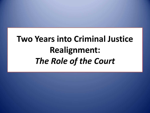# **Two Years into Criminal Justice Realignment:**  *The Role of the Court*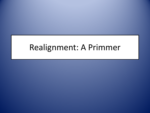### Realignment: A Primmer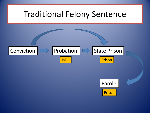### Traditional Felony Sentence



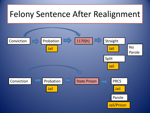## Felony Sentence After Realignment

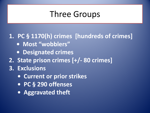## Three Groups

#### **1. PC § 1170(h) crimes [hundreds of crimes]**

- **Most "wobblers"**
- **Designated crimes**
- **2. State prison crimes [+/- 80 crimes]**
- **3. Exclusions**
	- **Current or prior strikes**
	- **PC § 290 offenses**
	- **Aggravated theft**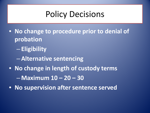## Policy Decisions

- **No change to procedure prior to denial of probation**
	- **Eligibility**
	- –**Alternative sentencing**
- **No change in length of custody terms** – **Maximum 10 – 20 – 30**
- **No supervision after sentence served**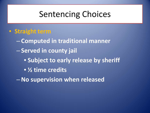## Sentencing Choices

- **Straight term**
	- **Computed in traditional manner**
	- **Served in county jail**
		- **Subject to early release by sheriff**
		- **½ time credits**
	- –**No supervision when released**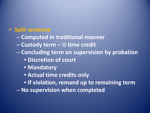#### • **Split sentence**

- **Computed in traditional manner**
- **Custody term – ½ time credit**
- **Concluding term on supervision by probation**
	- **Discretion of court**
	- **Mandatory**
	- **Actual time credits only**
	- **If violation, remand up to remaining term**
- **No supervision when completed**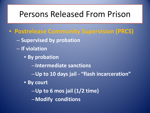### Persons Released From Prison

- **Postrelease Community Supervision (PRCS)**
	- **Supervised by probation**
	- **If violation**
		- **By probation**
			- –**Intermediate sanctions**
			- –**Up to 10 days jail - "flash incarceration"**
		- **By court**
			- –**Up to 6 mos jail (1/2 time)**
			- –**Modify conditions**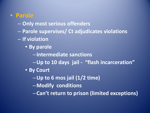#### • **Parole**

- **Only most serious offenders**
- **Parole supervises/ Ct adjudicates violations**
- **If violation**
	- **By parole**
		- –**Intermediate sanctions**
		- –**Up to 10 days jail "flash incarceration"**
	- **By Court** 
		- –**Up to 6 mos jail (1/2 time)**
		- –**Modify conditions**
		- –**Can't return to prison (limited exceptions)**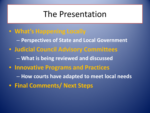### The Presentation

- **What's Happening Locally** – **Perspectives of State and Local Government** • **Judicial Council Advisory Committees** – **What is being reviewed and discussed** • **Innovative Programs and Practices** – **How courts have adapted to meet local needs**
- **Final Comments/ Next Steps**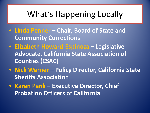## What's Happening Locally

- **Linda Penner – Chair, Board of State and Community Corrections**
- **Elizabeth Howard-Espinoza – Legislative Advocate, California State Association of Counties (CSAC)**
- **Nick Warner – Policy Director, California State Sheriffs Association**
- **Karen Pank – Executive Director, Chief Probation Officers of California**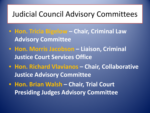### Judicial Council Advisory Committees

- **Hon. Tricia Bigelow – Chair, Criminal Law Advisory Committee**
- **Hon. Morris Jacobson – Liaison, Criminal Justice Court Services Office**
- **Hon. Richard Vlavianos – Chair, Collaborative Justice Advisory Committee**
- **Hon. Brian Walsh – Chair, Trial Court Presiding Judges Advisory Committee**